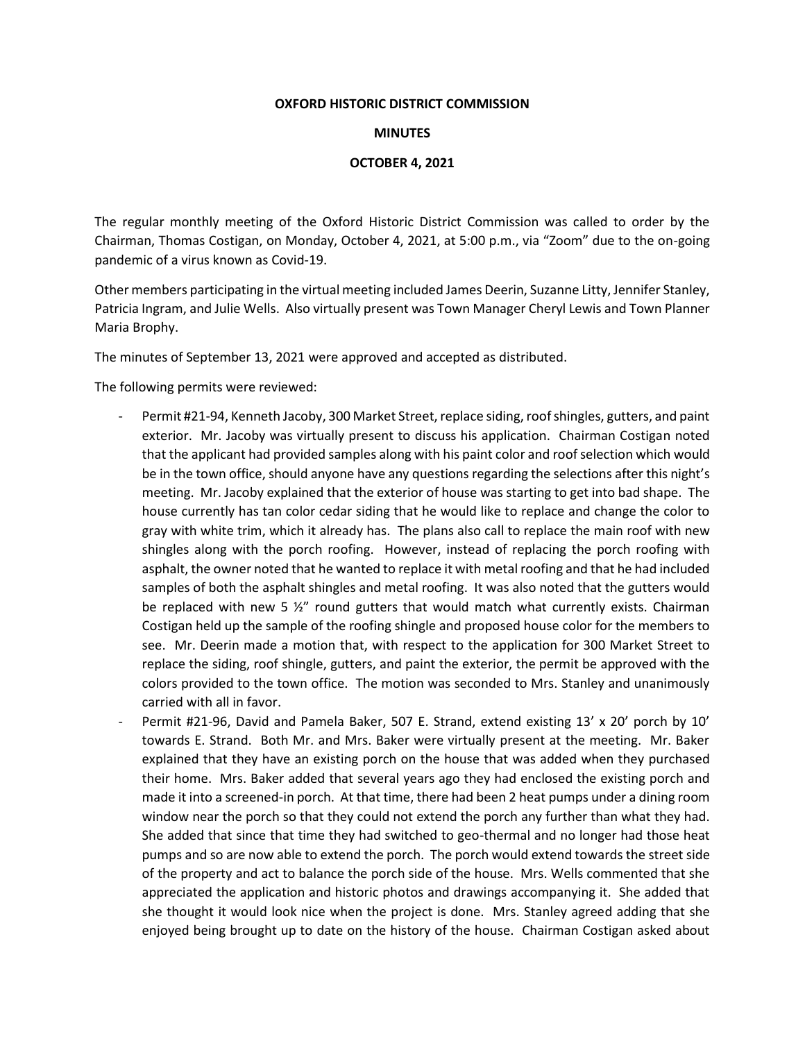## **OXFORD HISTORIC DISTRICT COMMISSION**

## **MINUTES**

## **OCTOBER 4, 2021**

The regular monthly meeting of the Oxford Historic District Commission was called to order by the Chairman, Thomas Costigan, on Monday, October 4, 2021, at 5:00 p.m., via "Zoom" due to the on-going pandemic of a virus known as Covid-19.

Other members participating in the virtual meeting included James Deerin, Suzanne Litty, Jennifer Stanley, Patricia Ingram, and Julie Wells. Also virtually present was Town Manager Cheryl Lewis and Town Planner Maria Brophy.

The minutes of September 13, 2021 were approved and accepted as distributed.

The following permits were reviewed:

- Permit #21-94, Kenneth Jacoby, 300 Market Street, replace siding, roof shingles, gutters, and paint exterior. Mr. Jacoby was virtually present to discuss his application. Chairman Costigan noted that the applicant had provided samples along with his paint color and roof selection which would be in the town office, should anyone have any questions regarding the selections after this night's meeting. Mr. Jacoby explained that the exterior of house was starting to get into bad shape. The house currently has tan color cedar siding that he would like to replace and change the color to gray with white trim, which it already has. The plans also call to replace the main roof with new shingles along with the porch roofing. However, instead of replacing the porch roofing with asphalt, the owner noted that he wanted to replace it with metal roofing and that he had included samples of both the asphalt shingles and metal roofing. It was also noted that the gutters would be replaced with new 5  $\frac{1}{2}$ " round gutters that would match what currently exists. Chairman Costigan held up the sample of the roofing shingle and proposed house color for the members to see. Mr. Deerin made a motion that, with respect to the application for 300 Market Street to replace the siding, roof shingle, gutters, and paint the exterior, the permit be approved with the colors provided to the town office. The motion was seconded to Mrs. Stanley and unanimously carried with all in favor.
- Permit #21-96, David and Pamela Baker, 507 E. Strand, extend existing 13' x 20' porch by 10' towards E. Strand. Both Mr. and Mrs. Baker were virtually present at the meeting. Mr. Baker explained that they have an existing porch on the house that was added when they purchased their home. Mrs. Baker added that several years ago they had enclosed the existing porch and made it into a screened-in porch. At that time, there had been 2 heat pumps under a dining room window near the porch so that they could not extend the porch any further than what they had. She added that since that time they had switched to geo-thermal and no longer had those heat pumps and so are now able to extend the porch. The porch would extend towards the street side of the property and act to balance the porch side of the house. Mrs. Wells commented that she appreciated the application and historic photos and drawings accompanying it. She added that she thought it would look nice when the project is done. Mrs. Stanley agreed adding that she enjoyed being brought up to date on the history of the house. Chairman Costigan asked about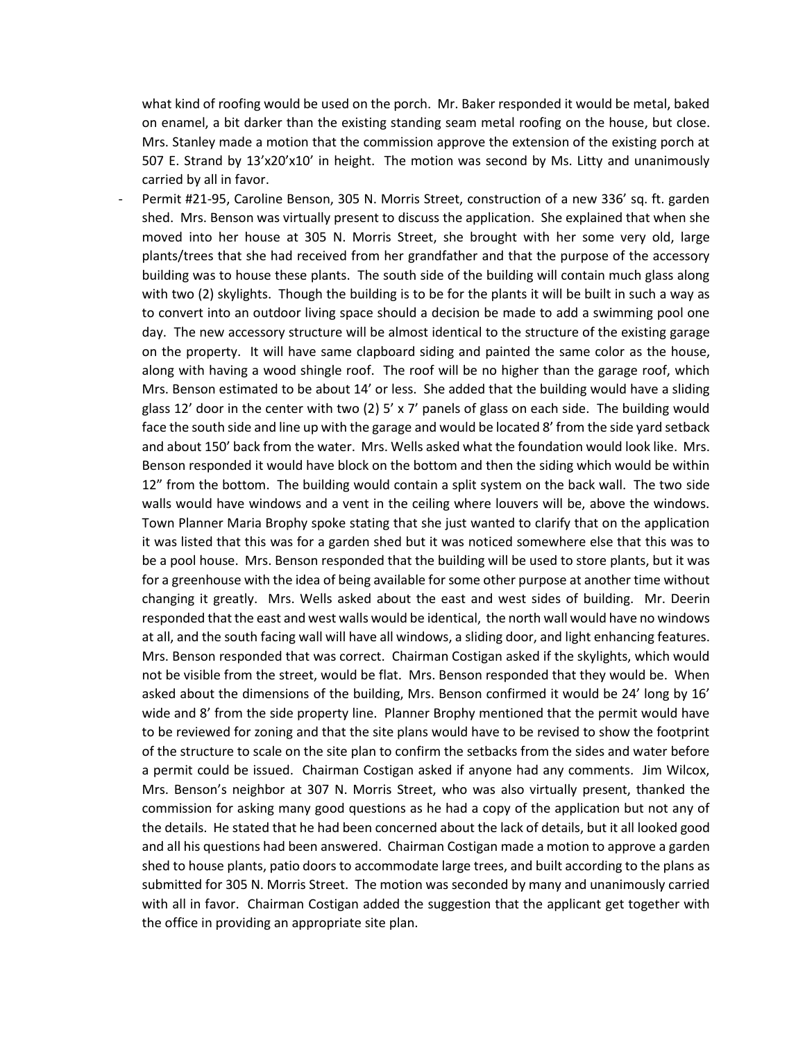what kind of roofing would be used on the porch. Mr. Baker responded it would be metal, baked on enamel, a bit darker than the existing standing seam metal roofing on the house, but close. Mrs. Stanley made a motion that the commission approve the extension of the existing porch at 507 E. Strand by 13'x20'x10' in height. The motion was second by Ms. Litty and unanimously carried by all in favor.

Permit #21-95, Caroline Benson, 305 N. Morris Street, construction of a new 336' sq. ft. garden shed. Mrs. Benson was virtually present to discuss the application. She explained that when she moved into her house at 305 N. Morris Street, she brought with her some very old, large plants/trees that she had received from her grandfather and that the purpose of the accessory building was to house these plants. The south side of the building will contain much glass along with two (2) skylights. Though the building is to be for the plants it will be built in such a way as to convert into an outdoor living space should a decision be made to add a swimming pool one day. The new accessory structure will be almost identical to the structure of the existing garage on the property. It will have same clapboard siding and painted the same color as the house, along with having a wood shingle roof. The roof will be no higher than the garage roof, which Mrs. Benson estimated to be about 14' or less. She added that the building would have a sliding glass 12' door in the center with two (2) 5' x 7' panels of glass on each side. The building would face the south side and line up with the garage and would be located 8' from the side yard setback and about 150' back from the water. Mrs. Wells asked what the foundation would look like. Mrs. Benson responded it would have block on the bottom and then the siding which would be within 12" from the bottom. The building would contain a split system on the back wall. The two side walls would have windows and a vent in the ceiling where louvers will be, above the windows. Town Planner Maria Brophy spoke stating that she just wanted to clarify that on the application it was listed that this was for a garden shed but it was noticed somewhere else that this was to be a pool house. Mrs. Benson responded that the building will be used to store plants, but it was for a greenhouse with the idea of being available for some other purpose at another time without changing it greatly. Mrs. Wells asked about the east and west sides of building. Mr. Deerin responded that the east and west walls would be identical, the north wall would have no windows at all, and the south facing wall will have all windows, a sliding door, and light enhancing features. Mrs. Benson responded that was correct. Chairman Costigan asked if the skylights, which would not be visible from the street, would be flat. Mrs. Benson responded that they would be. When asked about the dimensions of the building, Mrs. Benson confirmed it would be 24' long by 16' wide and 8' from the side property line. Planner Brophy mentioned that the permit would have to be reviewed for zoning and that the site plans would have to be revised to show the footprint of the structure to scale on the site plan to confirm the setbacks from the sides and water before a permit could be issued. Chairman Costigan asked if anyone had any comments. Jim Wilcox, Mrs. Benson's neighbor at 307 N. Morris Street, who was also virtually present, thanked the commission for asking many good questions as he had a copy of the application but not any of the details. He stated that he had been concerned about the lack of details, but it all looked good and all his questions had been answered. Chairman Costigan made a motion to approve a garden shed to house plants, patio doors to accommodate large trees, and built according to the plans as submitted for 305 N. Morris Street. The motion was seconded by many and unanimously carried with all in favor. Chairman Costigan added the suggestion that the applicant get together with the office in providing an appropriate site plan.